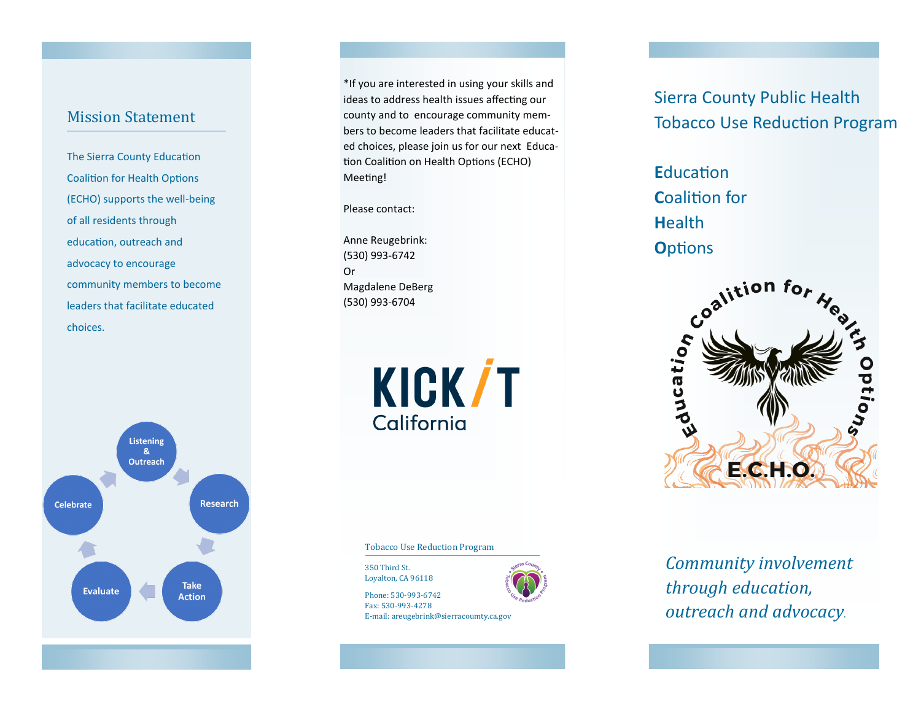## Mission Statement

The Sierra County Education Coalition for Health Options (ECHO) supports the well-being of all residents through education, outreach and advocacy to encourage community members to become leaders that facilitate educated choices.

**Listening**  $8<sub>k</sub>$ **Outreach Research Celebrate Take Evaluate Action** 

\*If you are interested in using your skills and ideas to address health issues affecting our county and to encourage community members to become leaders that facilitate educated choices, please join us for our next Education Coalition on Health Options (ECHO) Meeting!

Please contact:

Anne Reugebrink: (530) 993-6742 Or Magdalene DeBerg (530) 993-6704

> **KICK/T** California

Tobacco Use Reduction Program

350 Third St. Loyalton, CA 96118

Phone: 530-993-6742 Fax: 530-993-4278 E-mail: areugebrink@sierracoumty.ca.gov



Sierra County Public Health Tobacco Use Reduction Program

**E**ducation **C**oalition for **H**ealth **O**ptions



*Community involvement through education, outreach and advocacy.*